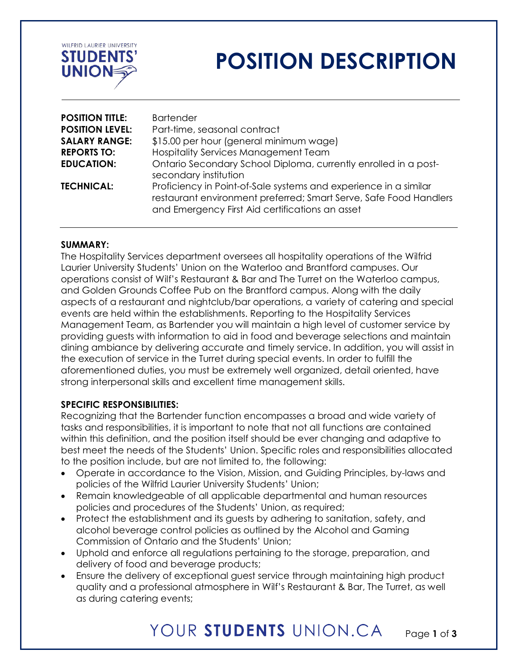

# **POSITION DESCRIPTION**

| <b>POSITION TITLE:</b> | <b>Bartender</b>                                                                                                                                                                         |
|------------------------|------------------------------------------------------------------------------------------------------------------------------------------------------------------------------------------|
| <b>POSITION LEVEL:</b> | Part-time, seasonal contract                                                                                                                                                             |
| <b>SALARY RANGE:</b>   | \$15.00 per hour (general minimum wage)                                                                                                                                                  |
| <b>REPORTS TO:</b>     | <b>Hospitality Services Management Team</b>                                                                                                                                              |
| <b>EDUCATION:</b>      | Ontario Secondary School Diploma, currently enrolled in a post-<br>secondary institution                                                                                                 |
| <b>TECHNICAL:</b>      | Proficiency in Point-of-Sale systems and experience in a similar<br>restaurant environment preferred; Smart Serve, Safe Food Handlers<br>and Emergency First Aid certifications an asset |

### **SUMMARY:**

The Hospitality Services department oversees all hospitality operations of the Wilfrid Laurier University Students' Union on the Waterloo and Brantford campuses. Our operations consist of Wilf's Restaurant & Bar and The Turret on the Waterloo campus, and Golden Grounds Coffee Pub on the Brantford campus. Along with the daily aspects of a restaurant and nightclub/bar operations, a variety of catering and special events are held within the establishments. Reporting to the Hospitality Services Management Team, as Bartender you will maintain a high level of customer service by providing guests with information to aid in food and beverage selections and maintain dining ambiance by delivering accurate and timely service. In addition, you will assist in the execution of service in the Turret during special events. In order to fulfill the aforementioned duties, you must be extremely well organized, detail oriented, have strong interpersonal skills and excellent time management skills.

### **SPECIFIC RESPONSIBILITIES:**

Recognizing that the Bartender function encompasses a broad and wide variety of tasks and responsibilities, it is important to note that not all functions are contained within this definition, and the position itself should be ever changing and adaptive to best meet the needs of the Students' Union. Specific roles and responsibilities allocated to the position include, but are not limited to, the following:

- Operate in accordance to the Vision, Mission, and Guiding Principles, by-laws and policies of the Wilfrid Laurier University Students' Union;
- Remain knowledgeable of all applicable departmental and human resources policies and procedures of the Students' Union, as required;
- Protect the establishment and its guests by adhering to sanitation, safety, and alcohol beverage control policies as outlined by the Alcohol and Gaming Commission of Ontario and the Students' Union;
- Uphold and enforce all regulations pertaining to the storage, preparation, and delivery of food and beverage products;
- Ensure the delivery of exceptional guest service through maintaining high product quality and a professional atmosphere in Wilf's Restaurant & Bar, The Turret, as well as during catering events;

#### YOUR STUDENTS UNION.CA Page **1** of **3**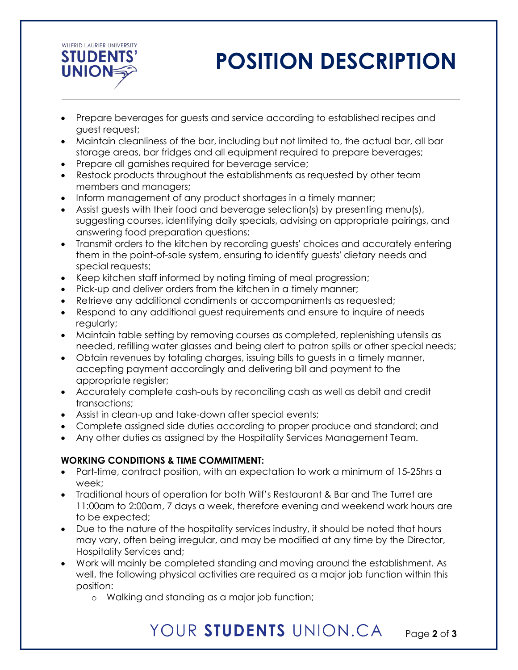

# **POSITION DESCRIPTION**

- Prepare beverages for guests and service according to established recipes and guest request;
- Maintain cleanliness of the bar, including but not limited to, the actual bar, all bar storage areas, bar fridges and all equipment required to prepare beverages;
- Prepare all garnishes required for beverage service;
- Restock products throughout the establishments as requested by other team members and managers;
- Inform management of any product shortages in a timely manner;
- Assist guests with their food and beverage selection(s) by presenting menu(s), suggesting courses, identifying daily specials, advising on appropriate pairings, and answering food preparation questions;
- Transmit orders to the kitchen by recording guests' choices and accurately entering them in the point-of-sale system, ensuring to identify guests' dietary needs and special requests;
- Keep kitchen staff informed by noting timing of meal progression;
- Pick-up and deliver orders from the kitchen in a timely manner;
- Retrieve any additional condiments or accompaniments as requested;
- Respond to any additional guest requirements and ensure to inquire of needs regularly;
- Maintain table setting by removing courses as completed, replenishing utensils as needed, refilling water glasses and being alert to patron spills or other special needs;
- Obtain revenues by totaling charges, issuing bills to guests in a timely manner, accepting payment accordingly and delivering bill and payment to the appropriate register;
- Accurately complete cash-outs by reconciling cash as well as debit and credit transactions;
- Assist in clean-up and take-down after special events;
- Complete assigned side duties according to proper produce and standard; and
- Any other duties as assigned by the Hospitality Services Management Team.

### **WORKING CONDITIONS & TIME COMMITMENT:**

- Part-time, contract position, with an expectation to work a minimum of 15-25hrs a week;
- Traditional hours of operation for both Wilf's Restaurant & Bar and The Turret are 11:00am to 2:00am, 7 days a week, therefore evening and weekend work hours are to be expected;
- Due to the nature of the hospitality services industry, it should be noted that hours may vary, often being irregular, and may be modified at any time by the Director, Hospitality Services and;
- Work will mainly be completed standing and moving around the establishment. As well, the following physical activities are required as a major job function within this position:
	- o Walking and standing as a major job function;

### YOUR STUDENTS UNION.CA Page **2** of **3**